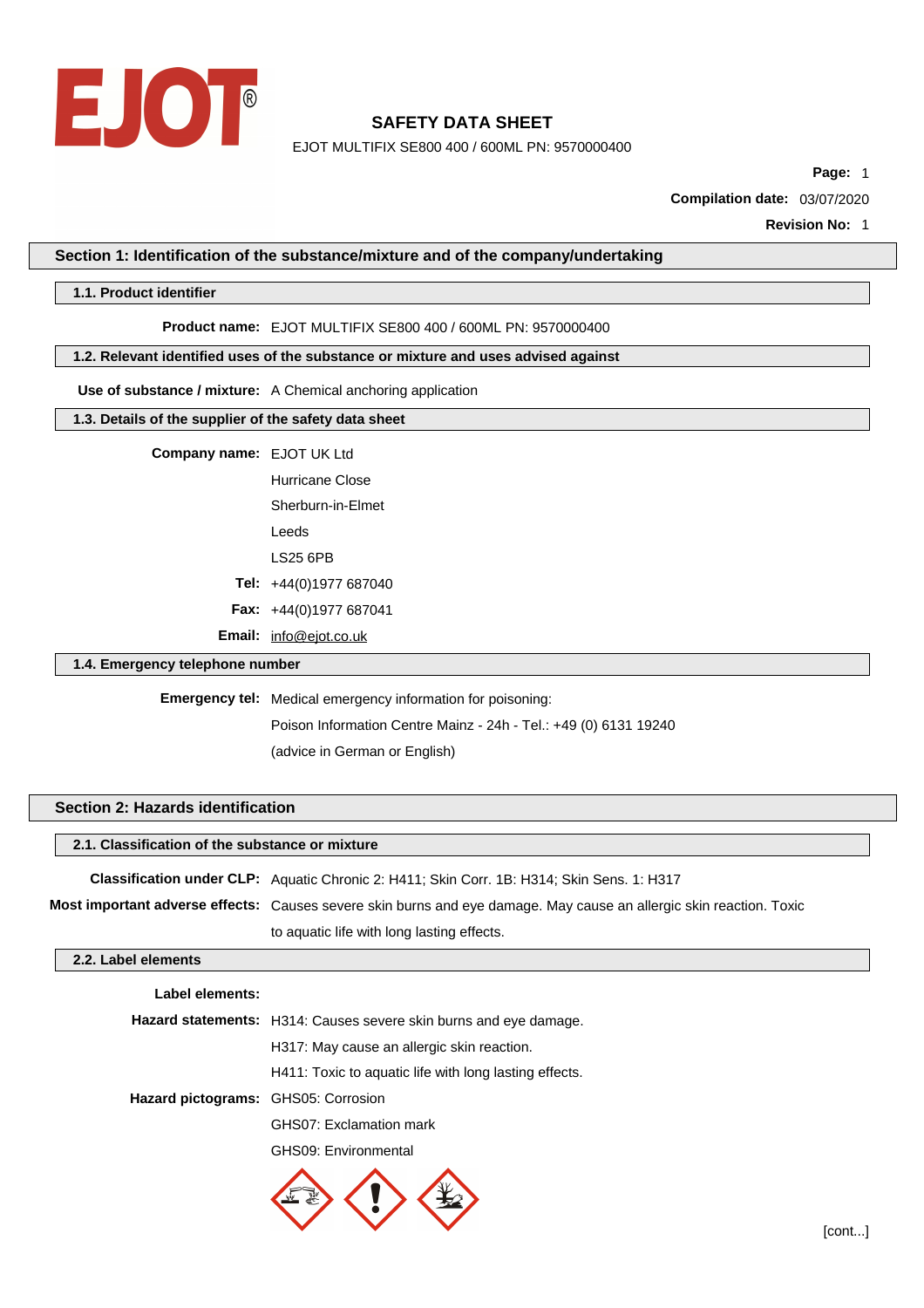

EJOT MULTIFIX SE800 400 / 600ML PN: 9570000400

**Page:** 1

**Compilation date:** 03/07/2020

**Revision No:** 1

### **Section 1: Identification of the substance/mixture and of the company/undertaking**

#### **1.1. Product identifier**

**Product name:** EJOT MULTIFIX SE800 400 / 600ML PN: 9570000400

#### **1.2. Relevant identified uses of the substance or mixture and uses advised against**

**Use of substance / mixture:** A Chemical anchoring application

#### **1.3. Details of the supplier of the safety data sheet**

| <b>Company name: EJOT UK Ltd</b> |
|----------------------------------|
|                                  |

Hurricane Close Sherburn-in-Elmet Leeds LS25 6PB **Tel:** +44(0)1977 687040 **Fax:** +44(0)1977 687041 **Email:** [info@ejot.co.uk](mailto:info@ejot.co.uk)

### **1.4. Emergency telephone number**

**Emergency tel:** Medical emergency information for poisoning:

Poison Information Centre Mainz - 24h - Tel.: +49 (0) 6131 19240 (advice in German or English)

## **Section 2: Hazards identification**

### **2.1. Classification of the substance or mixture**

**Classification under CLP:** Aquatic Chronic 2: H411; Skin Corr. 1B: H314; Skin Sens. 1: H317 **Most important adverse effects:** Causes severe skin burns and eye damage. May cause an allergic skin reaction. Toxic to aquatic life with long lasting effects.

## **2.2. Label elements**

| Label elements:                     |                                                                          |
|-------------------------------------|--------------------------------------------------------------------------|
|                                     | <b>Hazard statements:</b> H314: Causes severe skin burns and eye damage. |
|                                     | H317: May cause an allergic skin reaction.                               |
|                                     | H411: Toxic to aquatic life with long lasting effects.                   |
| Hazard pictograms: GHS05: Corrosion |                                                                          |
|                                     | GHS07: Exclamation mark                                                  |
|                                     |                                                                          |

GHS09: Environmental

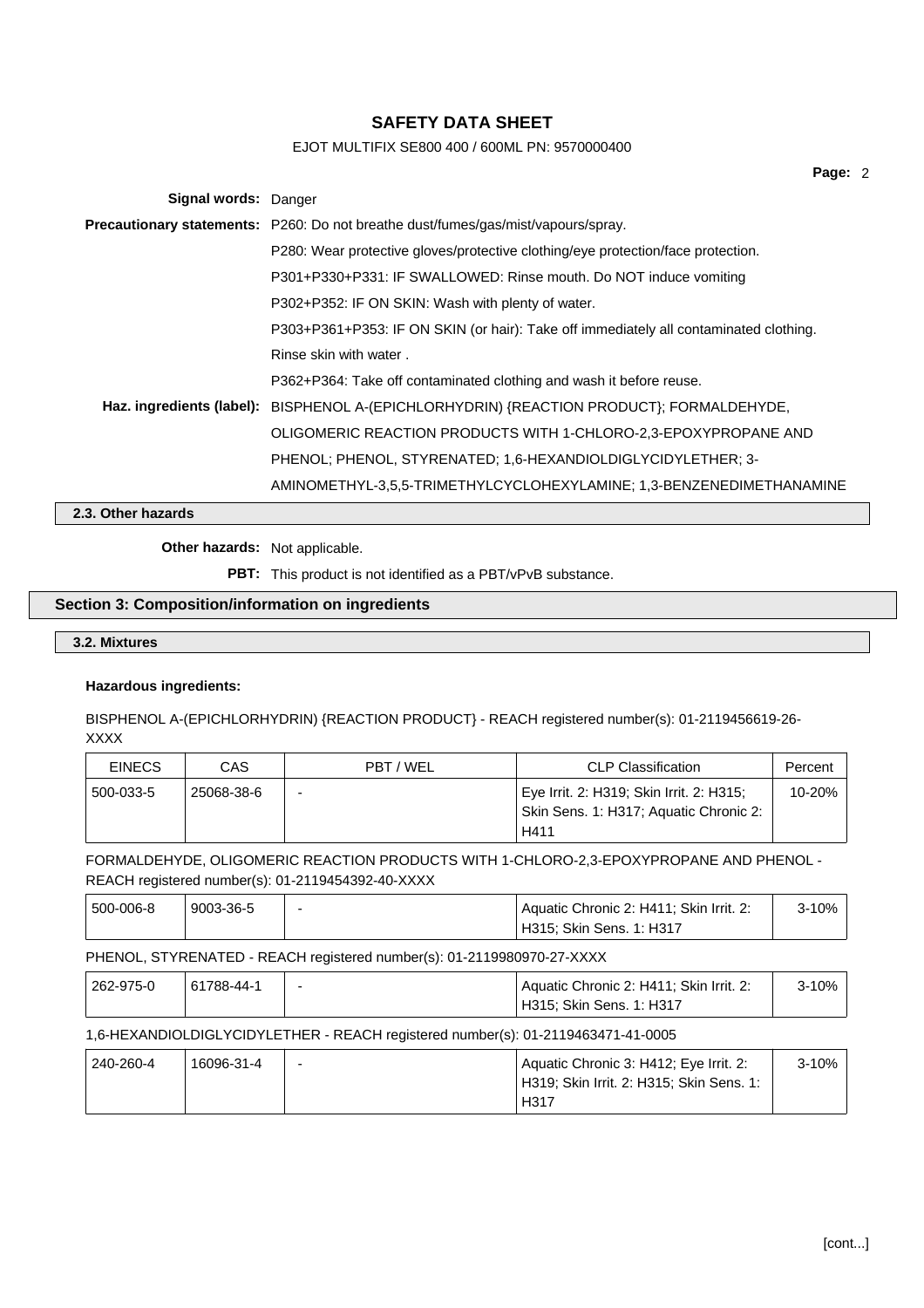# EJOT MULTIFIX SE800 400 / 600ML PN: 9570000400

| Signal words: Danger |                                                                                          |
|----------------------|------------------------------------------------------------------------------------------|
|                      | <b>Precautionary statements:</b> P260: Do not breathe dust/fumes/gas/mist/vapours/spray. |
|                      | P280: Wear protective gloves/protective clothing/eye protection/face protection.         |
|                      | P301+P330+P331: IF SWALLOWED: Rinse mouth. Do NOT induce vomiting                        |
|                      | P302+P352: IF ON SKIN: Wash with plenty of water.                                        |
|                      | P303+P361+P353: IF ON SKIN (or hair): Take off immediately all contaminated clothing.    |
|                      | Rinse skin with water.                                                                   |
|                      | P362+P364: Take off contaminated clothing and wash it before reuse.                      |
|                      | Haz. ingredients (label): BISPHENOL A-(EPICHLORHYDRIN) {REACTION PRODUCT}; FORMALDEHYDE, |
|                      | OLIGOMERIC REACTION PRODUCTS WITH 1-CHLORO-2,3-EPOXYPROPANE AND                          |
|                      | PHENOL; PHENOL, STYRENATED; 1,6-HEXANDIOLDIGLYCIDYLETHER; 3-                             |
|                      | AMINOMETHYL-3,5,5-TRIMETHYLCYCLOHEXYLAMINE; 1,3-BENZENEDIMETHANAMINE                     |

**2.3. Other hazards**

**Other hazards:** Not applicable.

**PBT:** This product is not identified as a PBT/vPvB substance.

## **Section 3: Composition/information on ingredients**

## **3.2. Mixtures**

### **Hazardous ingredients:**

BISPHENOL A-(EPICHLORHYDRIN) {REACTION PRODUCT} - REACH registered number(s): 01-2119456619-26- XXXX

| <b>EINECS</b> | CAS        | PBT / WEL                | <b>CLP Classification</b>                                                                  | Percent |
|---------------|------------|--------------------------|--------------------------------------------------------------------------------------------|---------|
| 500-033-5     | 25068-38-6 | $\overline{\phantom{0}}$ | Eye Irrit. 2: H319; Skin Irrit. 2: H315;<br>Skin Sens. 1: H317; Aquatic Chronic 2:<br>H411 | 10-20%  |

## FORMALDEHYDE, OLIGOMERIC REACTION PRODUCTS WITH 1-CHLORO-2,3-EPOXYPROPANE AND PHENOL - REACH registered number(s): 01-2119454392-40-XXXX

| 500-006-8 | ' 9003-36-5 | Aquatic Chronic 2: H411: Skin Irrit. 2: | 3-10% |
|-----------|-------------|-----------------------------------------|-------|
|           |             | H315: Skin Sens. 1: H317                |       |

### PHENOL, STYRENATED - REACH registered number(s): 01-2119980970-27-XXXX

| 262-975-0 | 61788-44-1 | Aquatic Chronic 2: H411; Skin Irrit. 2: | $3 - 10%$ |
|-----------|------------|-----------------------------------------|-----------|
|           |            | H315; Skin Sens. 1: H317                |           |

## 1,6-HEXANDIOLDIGLYCIDYLETHER - REACH registered number(s): 01-2119463471-41-0005

| 240-260-4 | 16096-31-4 | - | Aquatic Chronic 3: H412; Eye Irrit. 2:   | $3 - 10\%$ |
|-----------|------------|---|------------------------------------------|------------|
|           |            |   | H319; Skin Irrit. 2: H315; Skin Sens. 1: |            |
|           |            |   | H317                                     |            |

**Page:** 2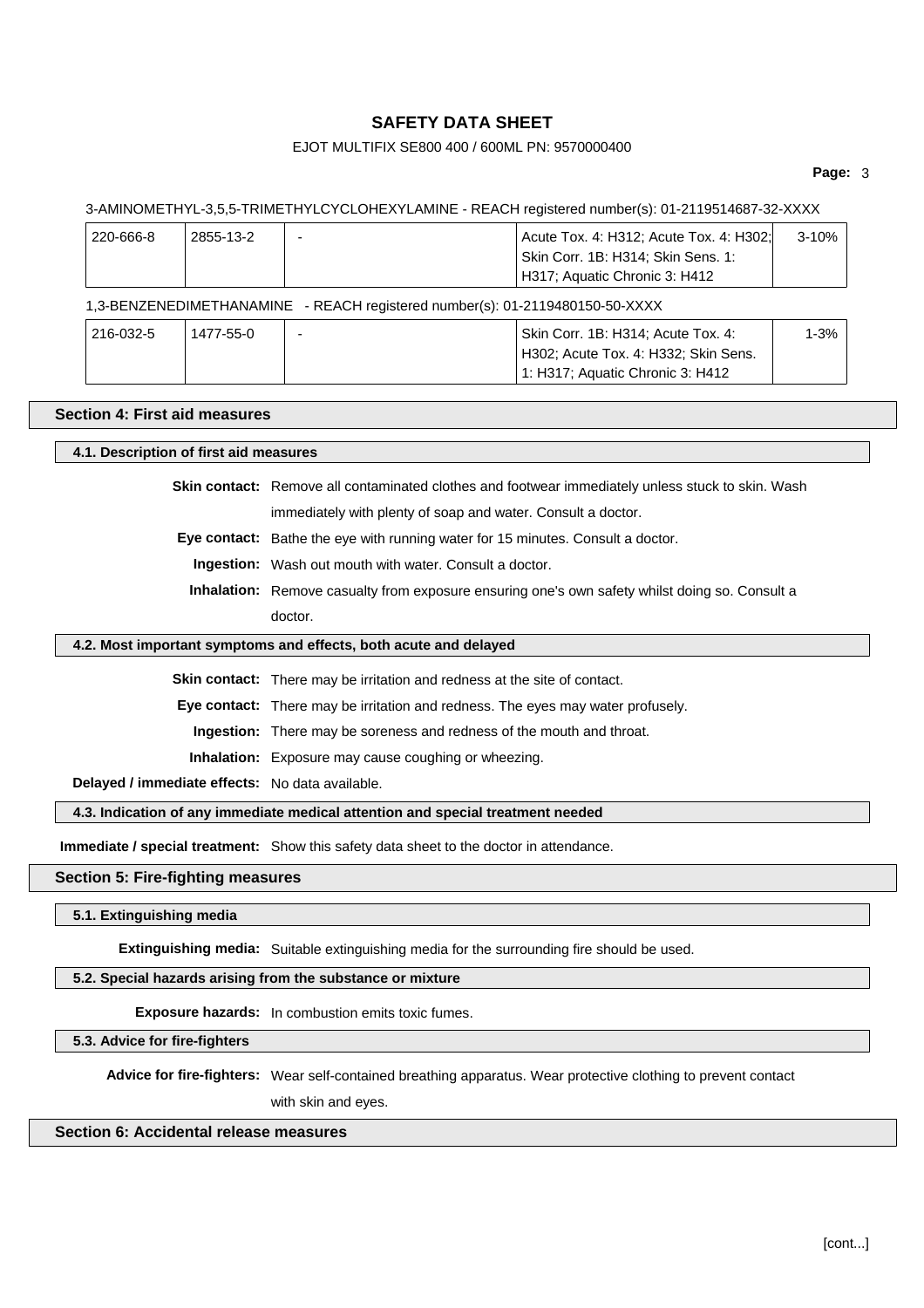## EJOT MULTIFIX SE800 400 / 600ML PN: 9570000400

#### **Page:** 3

#### 3-AMINOMETHYL-3,5,5-TRIMETHYLCYCLOHEXYLAMINE - REACH registered number(s): 01-2119514687-32-XXXX

| 220-666-8 | 2855-13-2                                                                    |  | Acute Tox. 4: H312; Acute Tox. 4: H302;<br>Skin Corr. 1B: H314; Skin Sens. 1:<br>H317; Aquatic Chronic 3: H412 | 3-10%    |  |
|-----------|------------------------------------------------------------------------------|--|----------------------------------------------------------------------------------------------------------------|----------|--|
|           | 1,3-BENZENEDIMETHANAMINE - REACH registered number(s): 01-2119480150-50-XXXX |  |                                                                                                                |          |  |
| 216-032-5 | 1477-55-0                                                                    |  | Skin Corr. 1B: H314; Acute Tox. 4:<br>H302; Acute Tox. 4: H332; Skin Sens.                                     | $1 - 3%$ |  |

#### **Section 4: First aid measures**

### **4.1. Description of first aid measures**

**Skin contact:** Remove all contaminated clothes and footwear immediately unless stuck to skin. Wash immediately with plenty of soap and water. Consult a doctor.

1: H317; Aquatic Chronic 3: H412

**Eye contact:** Bathe the eye with running water for 15 minutes. Consult a doctor.

**Ingestion:** Wash out mouth with water. Consult a doctor.

**Inhalation:** Remove casualty from exposure ensuring one's own safety whilst doing so. Consult a doctor.

#### **4.2. Most important symptoms and effects, both acute and delayed**

**Skin contact:** There may be irritation and redness at the site of contact.

**Eye contact:** There may be irritation and redness. The eyes may water profusely.

**Ingestion:** There may be soreness and redness of the mouth and throat.

**Inhalation:** Exposure may cause coughing or wheezing.

**Delayed / immediate effects:** No data available.

**4.3. Indication of any immediate medical attention and special treatment needed**

**Immediate / special treatment:** Show this safety data sheet to the doctor in attendance.

#### **Section 5: Fire-fighting measures**

#### **5.1. Extinguishing media**

**Extinguishing media:** Suitable extinguishing media for the surrounding fire should be used.

## **5.2. Special hazards arising from the substance or mixture**

**Exposure hazards:** In combustion emits toxic fumes.

#### **5.3. Advice for fire-fighters**

**Advice for fire-fighters:** Wear self-contained breathing apparatus. Wear protective clothing to prevent contact

with skin and eyes.

## **Section 6: Accidental release measures**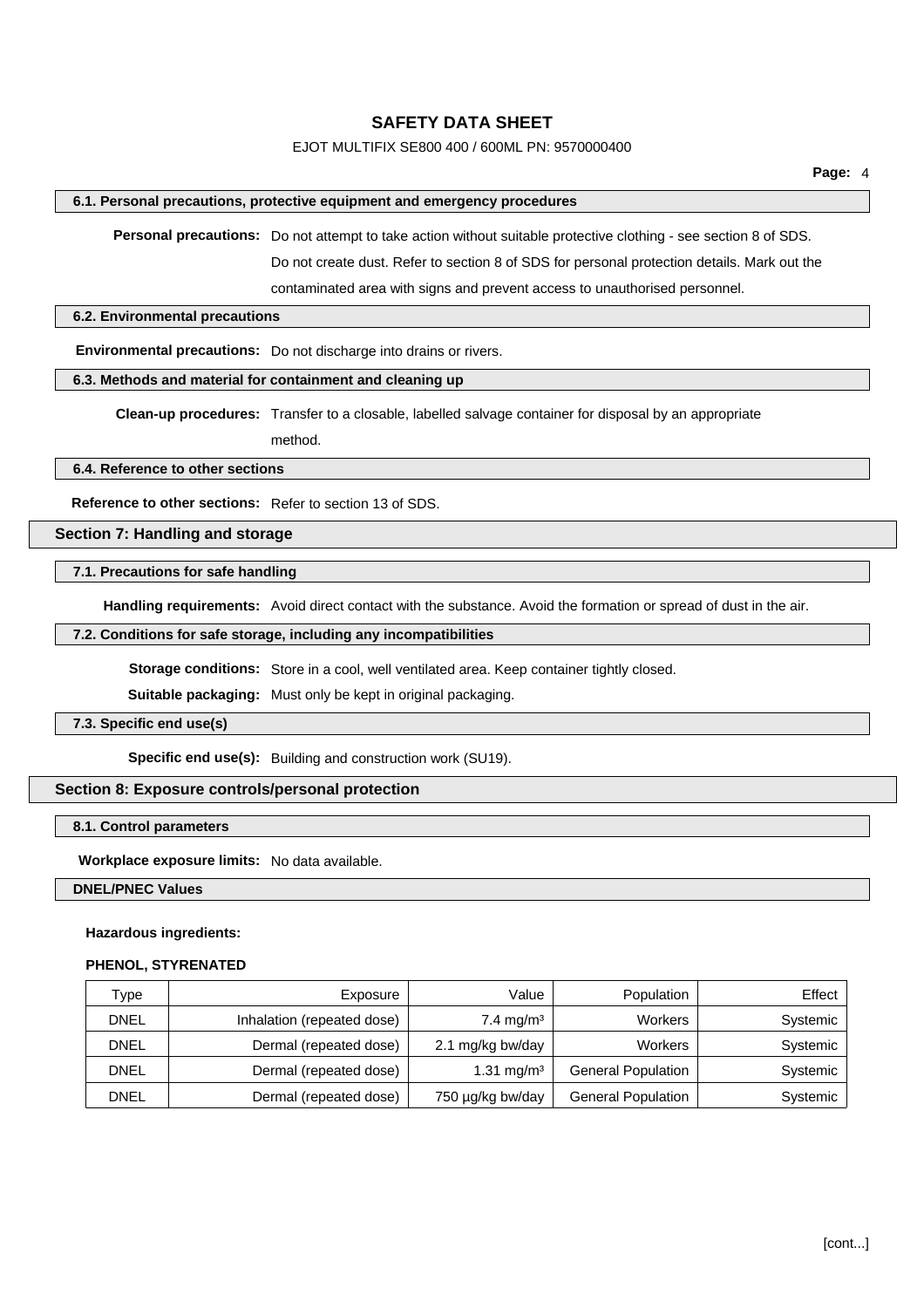### EJOT MULTIFIX SE800 400 / 600ML PN: 9570000400

#### **6.1. Personal precautions, protective equipment and emergency procedures**

**Personal precautions:** Do not attempt to take action without suitable protective clothing - see section 8 of SDS. Do not create dust. Refer to section 8 of SDS for personal protection details. Mark out the

contaminated area with signs and prevent access to unauthorised personnel.

#### **6.2. Environmental precautions**

**Environmental precautions:** Do not discharge into drains or rivers.

#### **6.3. Methods and material for containment and cleaning up**

**Clean-up procedures:** Transfer to a closable, labelled salvage container for disposal by an appropriate

method.

### **6.4. Reference to other sections**

**Reference to other sections:** Refer to section 13 of SDS.

### **Section 7: Handling and storage**

### **7.1. Precautions for safe handling**

**Handling requirements:** Avoid direct contact with the substance. Avoid the formation or spread of dust in the air.

#### **7.2. Conditions for safe storage, including any incompatibilities**

**Storage conditions:** Store in a cool, well ventilated area. Keep container tightly closed.

**Suitable packaging:** Must only be kept in original packaging.

#### **7.3. Specific end use(s)**

**Specific end use(s):** Building and construction work (SU19).

### **Section 8: Exposure controls/personal protection**

#### **8.1. Control parameters**

**Workplace exposure limits:** No data available.

#### **DNEL/PNEC Values**

#### **Hazardous ingredients:**

#### **PHENOL, STYRENATED**

| Type        | Exposure                   | Value                   | Population                | Effect   |
|-------------|----------------------------|-------------------------|---------------------------|----------|
| DNEL        | Inhalation (repeated dose) | $7.4 \,\mathrm{mq/m^3}$ | <b>Workers</b>            | Systemic |
| <b>DNEL</b> | Dermal (repeated dose)     | 2.1 mg/kg bw/day        | Workers                   | Systemic |
| DNEL        | Dermal (repeated dose)     | 1.31 mg/m <sup>3</sup>  | <b>General Population</b> | Systemic |
| DNEL        | Dermal (repeated dose)     | 750 µg/kg bw/day        | General Population        | Systemic |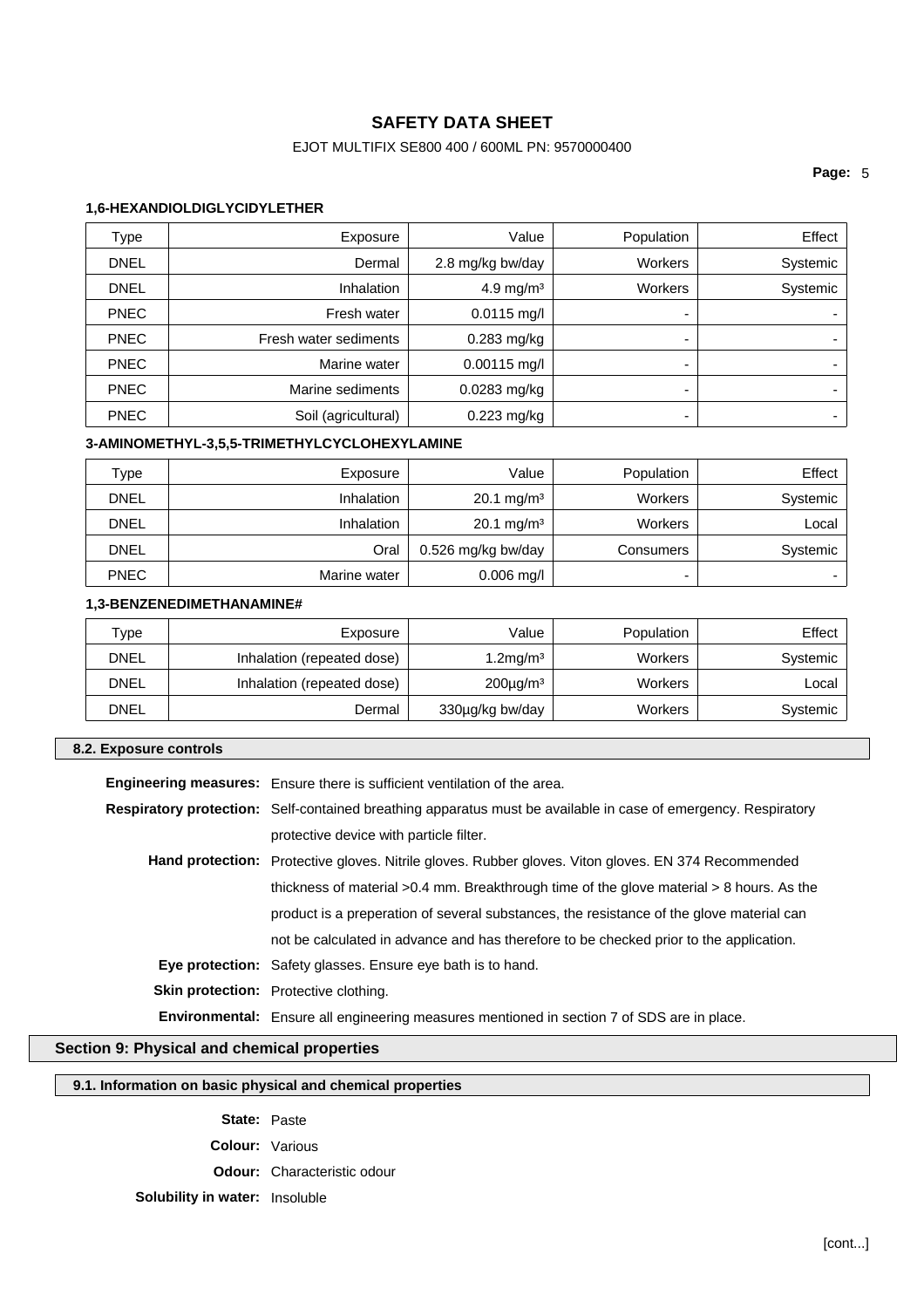# EJOT MULTIFIX SE800 400 / 600ML PN: 9570000400

### **Page:** 5

### **1,6-HEXANDIOLDIGLYCIDYLETHER**

| Type        | Exposure              | Value            | Population     | Effect   |
|-------------|-----------------------|------------------|----------------|----------|
| <b>DNEL</b> | Dermal                | 2.8 mg/kg bw/day | <b>Workers</b> | Systemic |
| <b>DNEL</b> | <b>Inhalation</b>     | 4.9 mg/m $3$     | <b>Workers</b> | Systemic |
| <b>PNEC</b> | Fresh water           | $0.0115$ mg/l    | -              |          |
| <b>PNEC</b> | Fresh water sediments | 0.283 mg/kg      | -              |          |
| <b>PNEC</b> | Marine water          | $0.00115$ mg/l   | -              |          |
| <b>PNEC</b> | Marine sediments      | 0.0283 mg/kg     | -              |          |
| <b>PNEC</b> | Soil (agricultural)   | $0.223$ mg/kg    | -              |          |

## **3-AMINOMETHYL-3,5,5-TRIMETHYLCYCLOHEXYLAMINE**

| туре        | Exposure          | Value                 | Population     | Effect   |
|-------------|-------------------|-----------------------|----------------|----------|
| <b>DNEL</b> | <b>Inhalation</b> | $20.1 \text{ mg/m}^3$ | <b>Workers</b> | Systemic |
| DNEL        | <b>Inhalation</b> | $20.1 \text{ mg/m}^3$ | Workers        | Local    |
| <b>DNEL</b> | Oral              | 0.526 mg/kg bw/day    | Consumers      | Systemic |
| <b>PNEC</b> | Marine water      | $0.006$ mg/l          | -              |          |

## **1,3-BENZENEDIMETHANAMINE#**

| $^{\mathsf{T}}$ ype | Exposure                   | Value           | Population     | Effect   |
|---------------------|----------------------------|-----------------|----------------|----------|
| <b>DNEL</b>         | Inhalation (repeated dose) | $1.2$ mg/m $3$  | <b>Workers</b> | Systemic |
| DNEL                | Inhalation (repeated dose) | $200\mu q/m^3$  | Workers        | Local    |
| <b>DNEL</b>         | Dermal                     | 330µg/kg bw/day | Workers        | Systemic |

#### **8.2. Exposure controls**

| Engineering measures: Ensure there is sufficient ventilation of the area.                                      |
|----------------------------------------------------------------------------------------------------------------|
| Respiratory protection: Self-contained breathing apparatus must be available in case of emergency. Respiratory |
| protective device with particle filter.                                                                        |
| <b>Hand protection:</b> Protective gloves. Nitrile gloves. Rubber gloves. Viton gloves. EN 374 Recommended     |
| thickness of material $>0.4$ mm. Breakthrough time of the glove material $>8$ hours. As the                    |
| product is a preperation of several substances, the resistance of the glove material can                       |
| not be calculated in advance and has therefore to be checked prior to the application.                         |
| <b>Eye protection:</b> Safety glasses. Ensure eye bath is to hand.                                             |
| <b>Skin protection:</b> Protective clothing.                                                                   |
| <b>Environmental:</b> Ensure all engineering measures mentioned in section 7 of SDS are in place.              |

## **Section 9: Physical and chemical properties**

### **9.1. Information on basic physical and chemical properties**

**State:** Paste

**Colour:** Various

**Odour:** Characteristic odour

# **Solubility in water:** Insoluble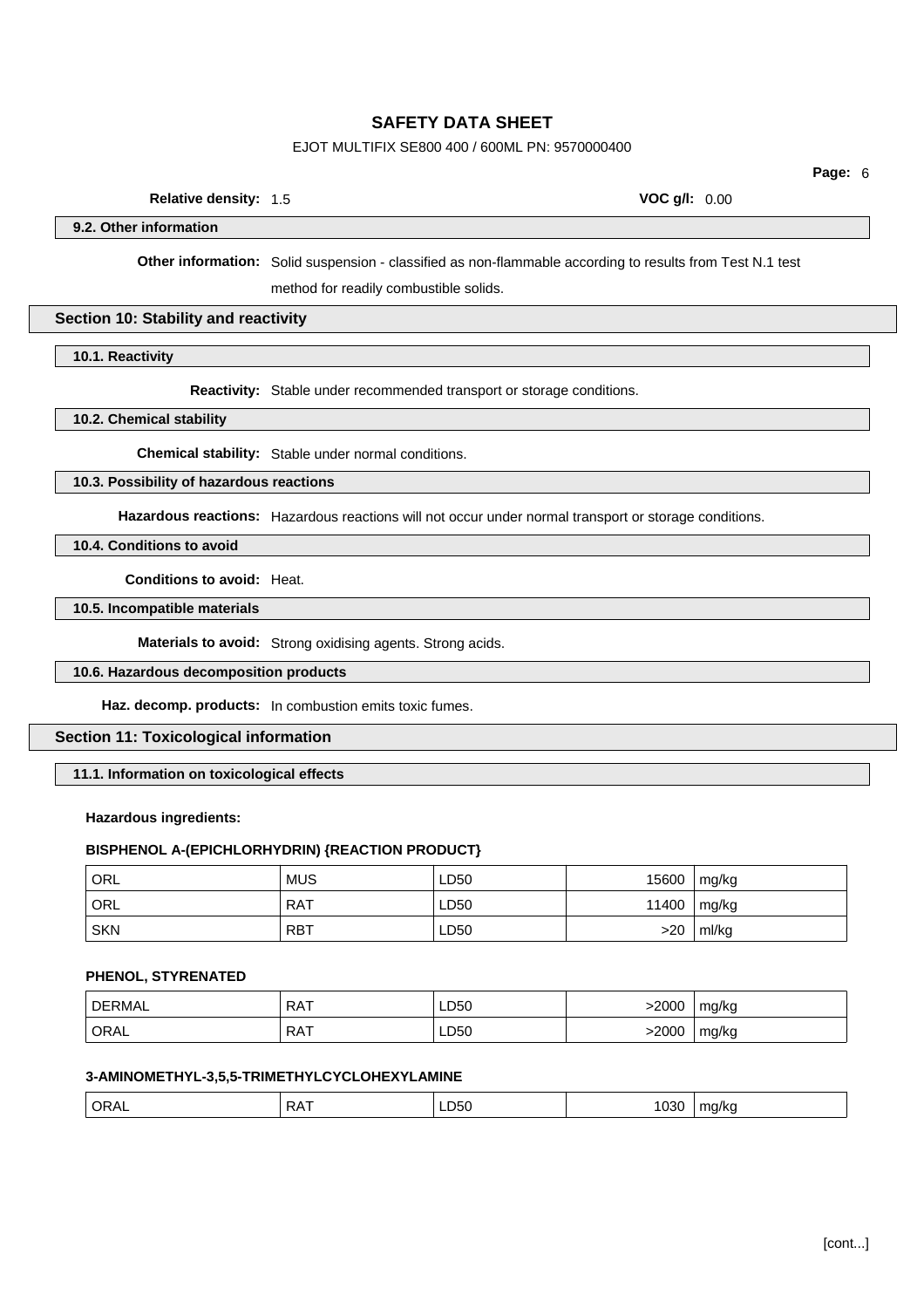## EJOT MULTIFIX SE800 400 / 600ML PN: 9570000400

**Page:** 6

| <b>Relative density: 1.5</b> | <b>VOC g/l: 0.00</b> |
|------------------------------|----------------------|
|                              |                      |

**9.2. Other information**

**Other information:** Solid suspension - classified as non-flammable according to results from Test N.1 test

method for readily combustible solids.

#### **Section 10: Stability and reactivity**

**10.1. Reactivity**

**Reactivity:** Stable under recommended transport or storage conditions.

**10.2. Chemical stability**

**Chemical stability:** Stable under normal conditions.

## **10.3. Possibility of hazardous reactions**

**Hazardous reactions:** Hazardous reactions will not occur under normal transport or storage conditions.

**10.4. Conditions to avoid**

**Conditions to avoid:** Heat.

**10.5. Incompatible materials**

**Materials to avoid:** Strong oxidising agents. Strong acids.

#### **10.6. Hazardous decomposition products**

**Haz. decomp. products:** In combustion emits toxic fumes.

### **Section 11: Toxicological information**

**11.1. Information on toxicological effects**

### **Hazardous ingredients:**

#### **BISPHENOL A-(EPICHLORHYDRIN) {REACTION PRODUCT}**

| ORL        | <b>MUS</b> | LD50 | 15600 | mg/kg |
|------------|------------|------|-------|-------|
| ' ORL      | <b>RAT</b> | LD50 | 11400 | mg/kg |
| <b>SKN</b> | . RBT      | LD50 | >20   | ml/kg |

#### **PHENOL, STYRENATED**

| DERMAL      | <b>RAT</b> | LD50 | >2000 | mg/kg |
|-------------|------------|------|-------|-------|
| <b>ORAL</b> | RAT        | LD50 | -2000 | mg/kg |

## **3-AMINOMETHYL-3,5,5-TRIMETHYLCYCLOHEXYLAMINE**

| $ -$<br>. | $\bigcap$ R $\Delta$<br>◡੶੶੶ | . .<br>⊃∧<br>$\mathbf{v}$ | LD50 | $- - -$<br>.,<br>1 U.SU | $II - 0$<br>$\mathbf{u}$ $\mathbf{v}$ |
|-----------|------------------------------|---------------------------|------|-------------------------|---------------------------------------|
|-----------|------------------------------|---------------------------|------|-------------------------|---------------------------------------|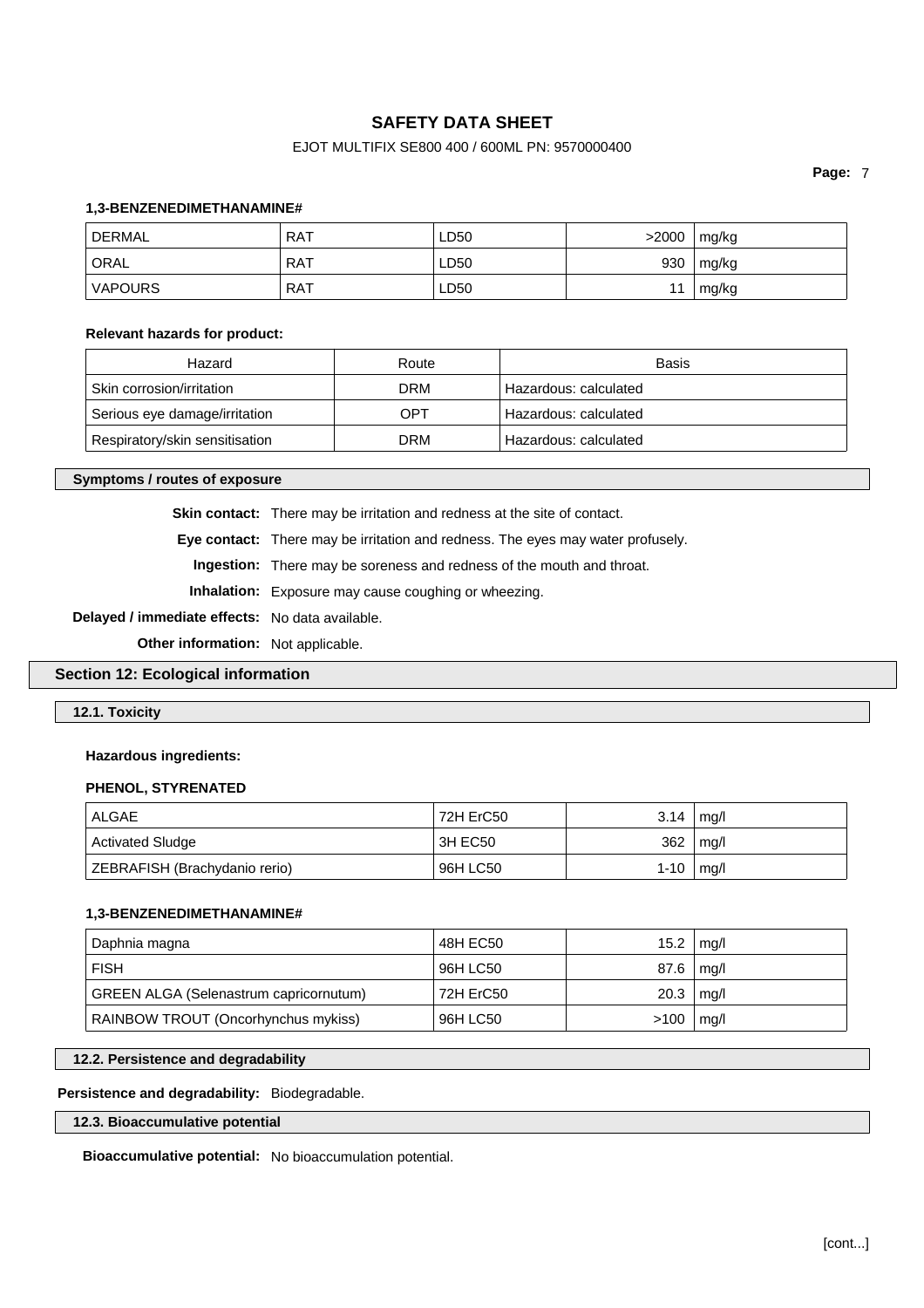## EJOT MULTIFIX SE800 400 / 600ML PN: 9570000400

**Page:** 7

#### **1,3-BENZENEDIMETHANAMINE#**

| <b>DERMAL</b>  | RAT        | LD50 | >2000 | mg/kg |
|----------------|------------|------|-------|-------|
| ORAL           | RAT        | LD50 | 930   | mg/kg |
| <b>VAPOURS</b> | <b>RAT</b> | LD50 |       | mg/kg |

#### **Relevant hazards for product:**

| Hazard                         | Route      | Basis                 |
|--------------------------------|------------|-----------------------|
| Skin corrosion/irritation      | <b>DRM</b> | Hazardous: calculated |
| Serious eye damage/irritation  | OPT        | Hazardous: calculated |
| Respiratory/skin sensitisation | <b>DRM</b> | Hazardous: calculated |

**Symptoms / routes of exposure**

**Skin contact:** There may be irritation and redness at the site of contact.

**Eye contact:** There may be irritation and redness. The eyes may water profusely.

**Ingestion:** There may be soreness and redness of the mouth and throat.

**Inhalation:** Exposure may cause coughing or wheezing.

**Delayed / immediate effects:** No data available.

**Other information:** Not applicable.

**Section 12: Ecological information**

**12.1. Toxicity**

### **Hazardous ingredients:**

### **PHENOL, STYRENATED**

| ALGAE                         | 72H ErC50 | 3.14     | mq/l |
|-------------------------------|-----------|----------|------|
| <b>Activated Sludge</b>       | 3H EC50   | 362      | mg/l |
| ZEBRAFISH (Brachydanio rerio) | 96H LC50  | $1 - 10$ | mg/l |

#### **1,3-BENZENEDIMETHANAMINE#**

| Daphnia magna                                 | 48H EC50  | 15.2             | mg/l |
|-----------------------------------------------|-----------|------------------|------|
| <b>FISH</b>                                   | 96H LC50  | $87.6 \mid$ mg/l |      |
| <b>GREEN ALGA (Selenastrum capricornutum)</b> | 72H ErC50 | 20.3             | mg/l |
| RAINBOW TROUT (Oncorhynchus mykiss)           | 96H LC50  | $>100$   mg/l    |      |

### **12.2. Persistence and degradability**

### **Persistence and degradability:** Biodegradable.

**12.3. Bioaccumulative potential**

**Bioaccumulative potential:** No bioaccumulation potential.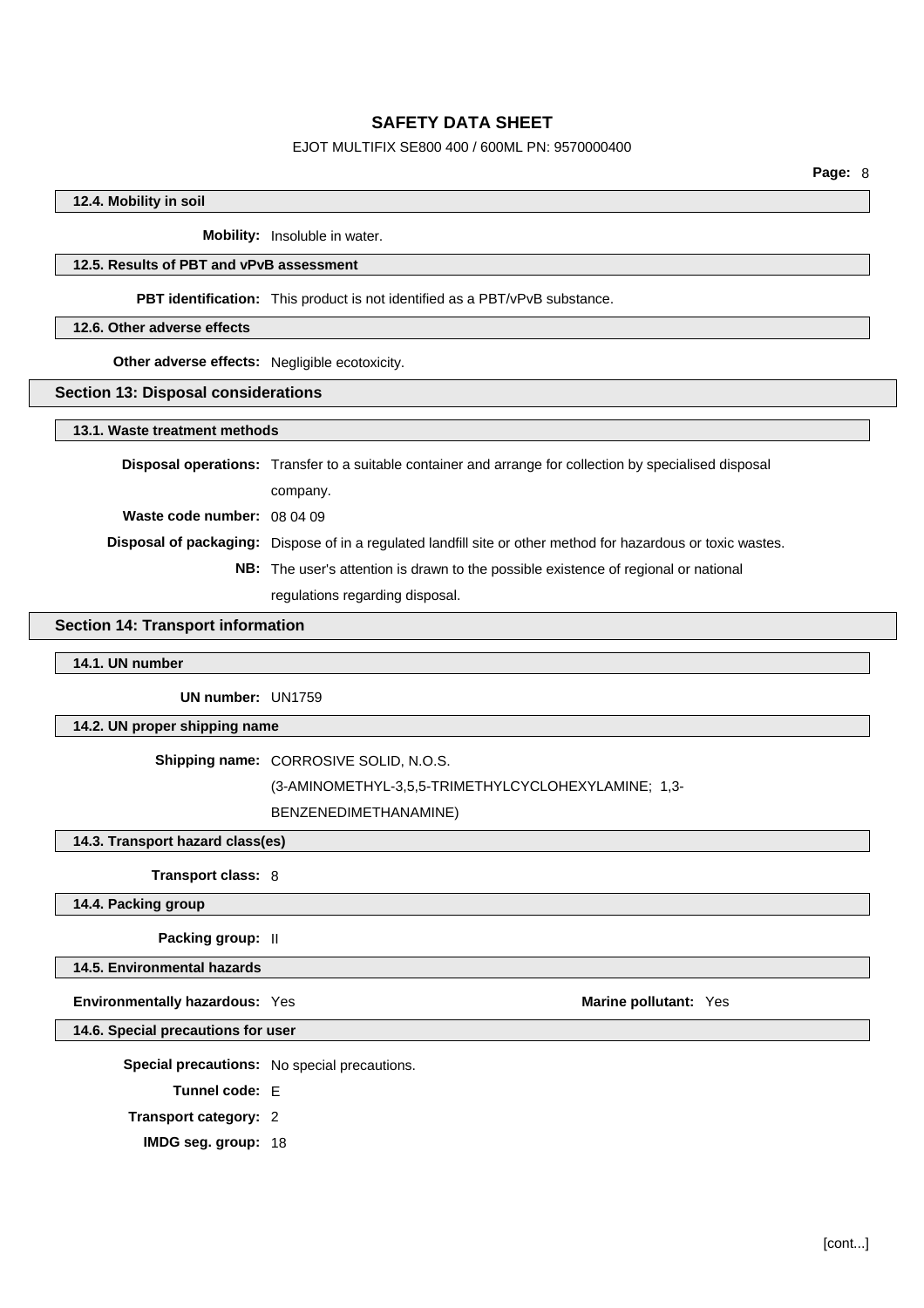## EJOT MULTIFIX SE800 400 / 600ML PN: 9570000400

## **12.4. Mobility in soil**

**Mobility:** Insoluble in water.

## **12.5. Results of PBT and vPvB assessment**

**PBT identification:** This product is not identified as a PBT/vPvB substance.

#### **12.6. Other adverse effects**

**Other adverse effects:** Negligible ecotoxicity.

#### **Section 13: Disposal considerations**

#### **13.1. Waste treatment methods**

|                             | <b>Disposal operations:</b> Transfer to a suitable container and arrange for collection by specialised disposal |
|-----------------------------|-----------------------------------------------------------------------------------------------------------------|
|                             | company.                                                                                                        |
| Waste code number: 08 04 09 |                                                                                                                 |
|                             | Disposal of packaging: Dispose of in a regulated landfill site or other method for hazardous or toxic wastes.   |
|                             | <b>NB:</b> The user's attention is drawn to the possible existence of regional or national                      |
|                             | regulations regarding disposal.                                                                                 |

### **Section 14: Transport information**

### **14.1. UN number**

**UN number:** UN1759

#### **14.2. UN proper shipping name**

#### **Shipping name:** CORROSIVE SOLID, N.O.S.

(3-AMINOMETHYL-3,5,5-TRIMETHYLCYCLOHEXYLAMINE; 1,3-

BENZENEDIMETHANAMINE)

**14.3. Transport hazard class(es)**

**Transport class:** 8

## **14.4. Packing group**

**Packing group:** II

**14.5. Environmental hazards**

**Environmentally hazardous:** Yes **Marine pollutant:** Yes

**14.6. Special precautions for user**

**Special precautions:** No special precautions.

**Tunnel code:** E

**Transport category:** 2

**IMDG seg. group:** 18